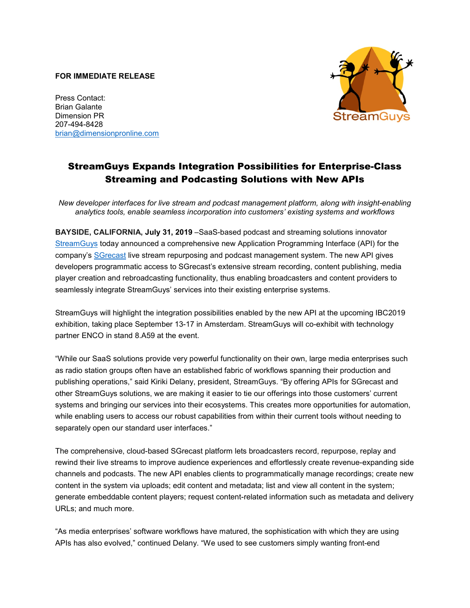## **FOR IMMEDIATE RELEASE**

Press Contact: Brian Galante Dimension PR 207-494-8428 [brian@dimensionpronline.com](mailto:brian@dimensionpronline.com)



## StreamGuys Expands Integration Possibilities for Enterprise-Class Streaming and Podcasting Solutions with New APIs

*New developer interfaces for live stream and podcast management platform, along with insight-enabling analytics tools, enable seamless incorporation into customers' existing systems and workflows*

**BAYSIDE, CALIFORNIA, July 31, 2019** –SaaS-based podcast and streaming solutions innovator [StreamGuys](https://www.streamguys.com/) today announced a comprehensive new Application Programming Interface (API) for the company's [SGrecast](https://www.streamguys.com/services/sgtools/sgrecast) live stream repurposing and podcast management system. The new API gives developers programmatic access to SGrecast's extensive stream recording, content publishing, media player creation and rebroadcasting functionality, thus enabling broadcasters and content providers to seamlessly integrate StreamGuys' services into their existing enterprise systems.

StreamGuys will highlight the integration possibilities enabled by the new API at the upcoming IBC2019 exhibition, taking place September 13-17 in Amsterdam. StreamGuys will co-exhibit with technology partner ENCO in stand 8.A59 at the event.

"While our SaaS solutions provide very powerful functionality on their own, large media enterprises such as radio station groups often have an established fabric of workflows spanning their production and publishing operations," said Kiriki Delany, president, StreamGuys. "By offering APIs for SGrecast and other StreamGuys solutions, we are making it easier to tie our offerings into those customers' current systems and bringing our services into their ecosystems. This creates more opportunities for automation, while enabling users to access our robust capabilities from within their current tools without needing to separately open our standard user interfaces."

The comprehensive, cloud-based SGrecast platform lets broadcasters record, repurpose, replay and rewind their live streams to improve audience experiences and effortlessly create revenue-expanding side channels and podcasts. The new API enables clients to programmatically manage recordings; create new content in the system via uploads; edit content and metadata; list and view all content in the system; generate embeddable content players; request content-related information such as metadata and delivery URLs; and much more.

"As media enterprises' software workflows have matured, the sophistication with which they are using APIs has also evolved," continued Delany. "We used to see customers simply wanting front-end